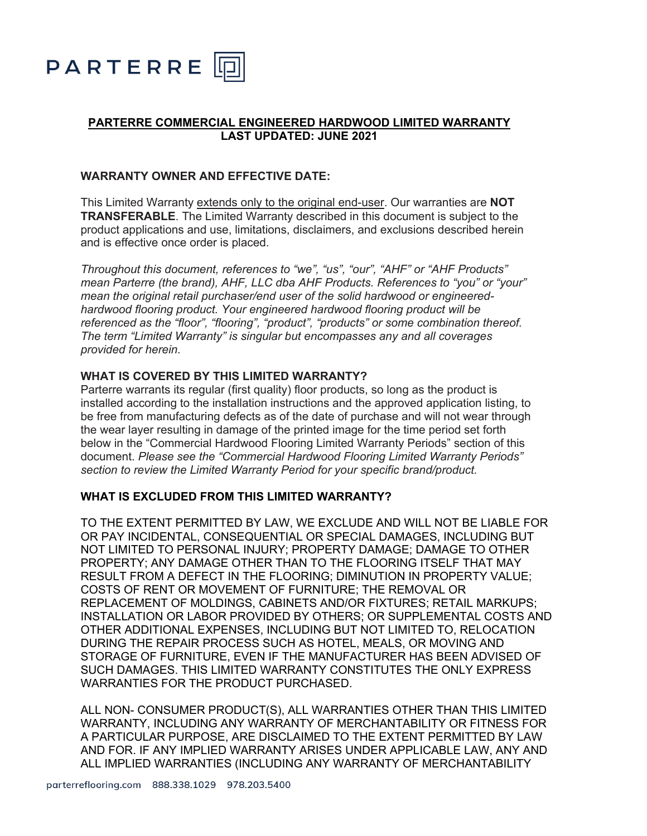

## **PARTERRE COMMERCIAL ENGINEERED HARDWOOD LIMITED WARRANTY LAST UPDATED: JUNE 2021**

### **WARRANTY OWNER AND EFFECTIVE DATE:**

This Limited Warranty extends only to the original end-user. Our warranties are **NOT TRANSFERABLE**. The Limited Warranty described in this document is subject to the product applications and use, limitations, disclaimers, and exclusions described herein and is effective once order is placed.

*Throughout this document, references to "we", "us", "our", "AHF" or "AHF Products" mean Parterre (the brand), AHF, LLC dba AHF Products. References to "you" or "your" mean the original retail purchaser/end user of the solid hardwood or engineeredhardwood flooring product. Your engineered hardwood flooring product will be referenced as the "floor", "flooring", "product", "products" or some combination thereof. The term "Limited Warranty" is singular but encompasses any and all coverages provided for herein.*

#### **WHAT IS COVERED BY THIS LIMITED WARRANTY?**

Parterre warrants its regular (first quality) floor products, so long as the product is installed according to the installation instructions and the approved application listing, to be free from manufacturing defects as of the date of purchase and will not wear through the wear layer resulting in damage of the printed image for the time period set forth below in the "Commercial Hardwood Flooring Limited Warranty Periods" section of this document. *Please see the "Commercial Hardwood Flooring Limited Warranty Periods" section to review the Limited Warranty Period for your specific brand/product.*

#### **WHAT IS EXCLUDED FROM THIS LIMITED WARRANTY?**

TO THE EXTENT PERMITTED BY LAW, WE EXCLUDE AND WILL NOT BE LIABLE FOR OR PAY INCIDENTAL, CONSEQUENTIAL OR SPECIAL DAMAGES, INCLUDING BUT NOT LIMITED TO PERSONAL INJURY; PROPERTY DAMAGE; DAMAGE TO OTHER PROPERTY; ANY DAMAGE OTHER THAN TO THE FLOORING ITSELF THAT MAY RESULT FROM A DEFECT IN THE FLOORING; DIMINUTION IN PROPERTY VALUE; COSTS OF RENT OR MOVEMENT OF FURNITURE; THE REMOVAL OR REPLACEMENT OF MOLDINGS, CABINETS AND/OR FIXTURES; RETAIL MARKUPS; INSTALLATION OR LABOR PROVIDED BY OTHERS; OR SUPPLEMENTAL COSTS AND OTHER ADDITIONAL EXPENSES, INCLUDING BUT NOT LIMITED TO, RELOCATION DURING THE REPAIR PROCESS SUCH AS HOTEL, MEALS, OR MOVING AND STORAGE OF FURNITURE, EVEN IF THE MANUFACTURER HAS BEEN ADVISED OF SUCH DAMAGES. THIS LIMITED WARRANTY CONSTITUTES THE ONLY EXPRESS WARRANTIES FOR THE PRODUCT PURCHASED.

ALL NON- CONSUMER PRODUCT(S), ALL WARRANTIES OTHER THAN THIS LIMITED WARRANTY, INCLUDING ANY WARRANTY OF MERCHANTABILITY OR FITNESS FOR A PARTICULAR PURPOSE, ARE DISCLAIMED TO THE EXTENT PERMITTED BY LAW AND FOR. IF ANY IMPLIED WARRANTY ARISES UNDER APPLICABLE LAW, ANY AND ALL IMPLIED WARRANTIES (INCLUDING ANY WARRANTY OF MERCHANTABILITY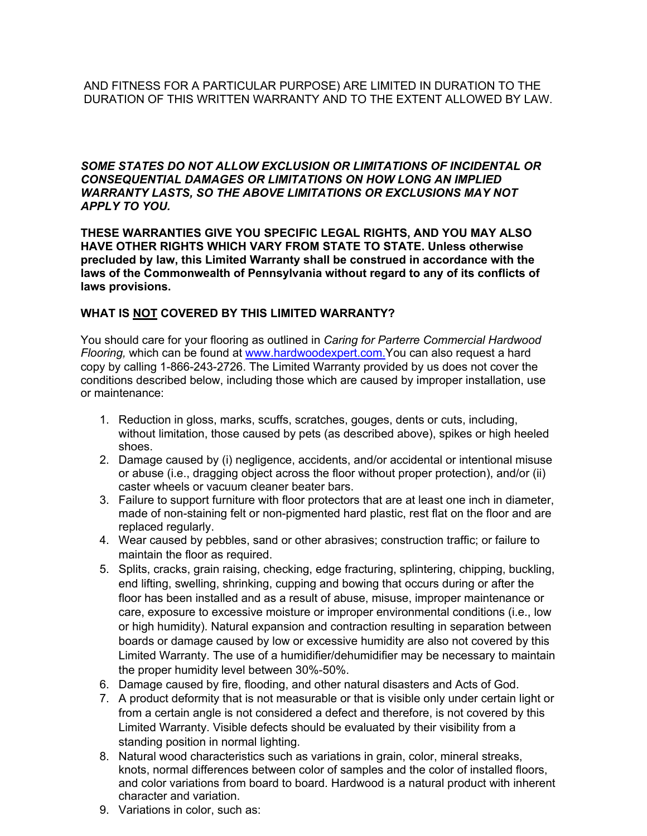*SOME STATES DO NOT ALLOW EXCLUSION OR LIMITATIONS OF INCIDENTAL OR CONSEQUENTIAL DAMAGES OR LIMITATIONS ON HOW LONG AN IMPLIED WARRANTY LASTS, SO THE ABOVE LIMITATIONS OR EXCLUSIONS MAY NOT APPLY TO YOU.*

**THESE WARRANTIES GIVE YOU SPECIFIC LEGAL RIGHTS, AND YOU MAY ALSO HAVE OTHER RIGHTS WHICH VARY FROM STATE TO STATE. Unless otherwise precluded by law, this Limited Warranty shall be construed in accordance with the laws of the Commonwealth of Pennsylvania without regard to any of its conflicts of laws provisions.**

## **WHAT IS NOT COVERED BY THIS LIMITED WARRANTY?**

You should care for your flooring as outlined in *Caring for Parterre Commercial Hardwood Flooring,* which can be found at www.hardwoodexpert.com.You can also request a hard copy by calling 1-866-243-2726. The Limited Warranty provided by us does not cover the conditions described below, including those which are caused by improper installation, use or maintenance:

- 1. Reduction in gloss, marks, scuffs, scratches, gouges, dents or cuts, including, without limitation, those caused by pets (as described above), spikes or high heeled shoes.
- 2. Damage caused by (i) negligence, accidents, and/or accidental or intentional misuse or abuse (i.e., dragging object across the floor without proper protection), and/or (ii) caster wheels or vacuum cleaner beater bars.
- 3. Failure to support furniture with floor protectors that are at least one inch in diameter, made of non-staining felt or non-pigmented hard plastic, rest flat on the floor and are replaced regularly.
- 4. Wear caused by pebbles, sand or other abrasives; construction traffic; or failure to maintain the floor as required.
- 5. Splits, cracks, grain raising, checking, edge fracturing, splintering, chipping, buckling, end lifting, swelling, shrinking, cupping and bowing that occurs during or after the floor has been installed and as a result of abuse, misuse, improper maintenance or care, exposure to excessive moisture or improper environmental conditions (i.e., low or high humidity). Natural expansion and contraction resulting in separation between boards or damage caused by low or excessive humidity are also not covered by this Limited Warranty. The use of a humidifier/dehumidifier may be necessary to maintain the proper humidity level between 30%-50%.
- 6. Damage caused by fire, flooding, and other natural disasters and Acts of God.
- 7. A product deformity that is not measurable or that is visible only under certain light or from a certain angle is not considered a defect and therefore, is not covered by this Limited Warranty. Visible defects should be evaluated by their visibility from a standing position in normal lighting.
- 8. Natural wood characteristics such as variations in grain, color, mineral streaks, knots, normal differences between color of samples and the color of installed floors, and color variations from board to board. Hardwood is a natural product with inherent character and variation.
- 9. Variations in color, such as: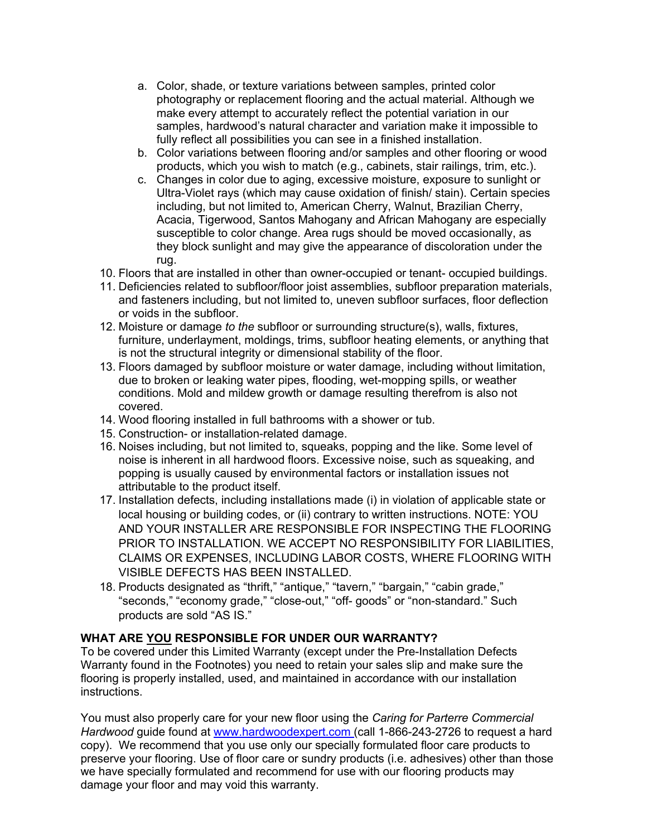- a. Color, shade, or texture variations between samples, printed color photography or replacement flooring and the actual material. Although we make every attempt to accurately reflect the potential variation in our samples, hardwood's natural character and variation make it impossible to fully reflect all possibilities you can see in a finished installation.
- b. Color variations between flooring and/or samples and other flooring or wood products, which you wish to match (e.g., cabinets, stair railings, trim, etc.).
- c. Changes in color due to aging, excessive moisture, exposure to sunlight or Ultra-Violet rays (which may cause oxidation of finish/ stain). Certain species including, but not limited to, American Cherry, Walnut, Brazilian Cherry, Acacia, Tigerwood, Santos Mahogany and African Mahogany are especially susceptible to color change. Area rugs should be moved occasionally, as they block sunlight and may give the appearance of discoloration under the rug.
- 10. Floors that are installed in other than owner-occupied or tenant- occupied buildings.
- 11. Deficiencies related to subfloor/floor joist assemblies, subfloor preparation materials, and fasteners including, but not limited to, uneven subfloor surfaces, floor deflection or voids in the subfloor.
- 12. Moisture or damage *to the* subfloor or surrounding structure(s), walls, fixtures, furniture, underlayment, moldings, trims, subfloor heating elements, or anything that is not the structural integrity or dimensional stability of the floor.
- 13. Floors damaged by subfloor moisture or water damage, including without limitation, due to broken or leaking water pipes, flooding, wet-mopping spills, or weather conditions. Mold and mildew growth or damage resulting therefrom is also not covered.
- 14. Wood flooring installed in full bathrooms with a shower or tub.
- 15. Construction- or installation-related damage.
- 16. Noises including, but not limited to, squeaks, popping and the like. Some level of noise is inherent in all hardwood floors. Excessive noise, such as squeaking, and popping is usually caused by environmental factors or installation issues not attributable to the product itself.
- 17. Installation defects, including installations made (i) in violation of applicable state or local housing or building codes, or (ii) contrary to written instructions. NOTE: YOU AND YOUR INSTALLER ARE RESPONSIBLE FOR INSPECTING THE FLOORING PRIOR TO INSTALLATION. WE ACCEPT NO RESPONSIBILITY FOR LIABILITIES, CLAIMS OR EXPENSES, INCLUDING LABOR COSTS, WHERE FLOORING WITH VISIBLE DEFECTS HAS BEEN INSTALLED.
- 18. Products designated as "thrift," "antique," "tavern," "bargain," "cabin grade," "seconds," "economy grade," "close-out," "off- goods" or "non-standard." Such products are sold "AS IS."

## **WHAT ARE YOU RESPONSIBLE FOR UNDER OUR WARRANTY?**

To be covered under this Limited Warranty (except under the Pre-Installation Defects Warranty found in the Footnotes) you need to retain your sales slip and make sure the flooring is properly installed, used, and maintained in accordance with our installation instructions.

You must also properly care for your new floor using the *Caring for Parterre Commercial Hardwood* guide found at www.hardwoodexpert.com (call 1-866-243-2726 to request a hard copy). We recommend that you use only our specially formulated floor care products to preserve your flooring. Use of floor care or sundry products (i.e. adhesives) other than those we have specially formulated and recommend for use with our flooring products may damage your floor and may void this warranty.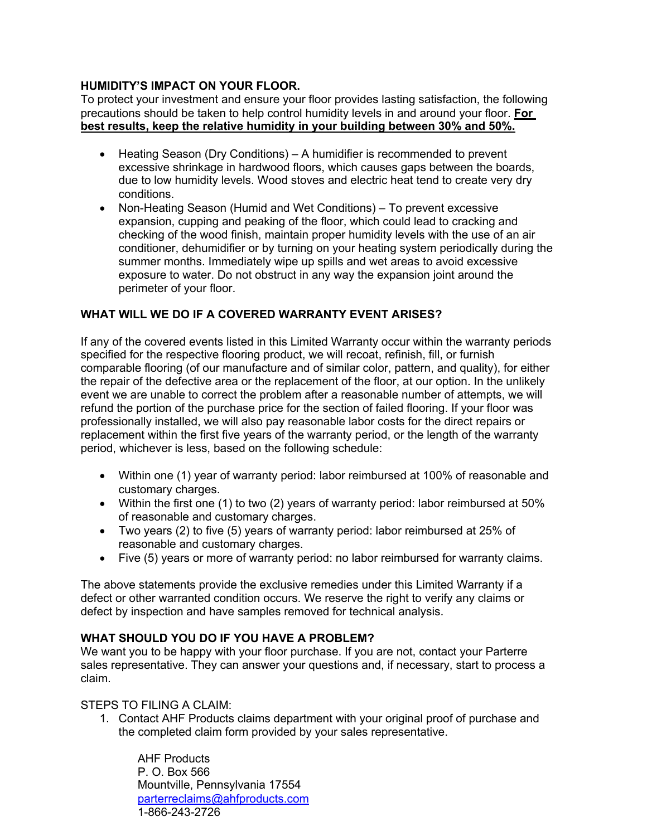## **HUMIDITY'S IMPACT ON YOUR FLOOR.**

To protect your investment and ensure your floor provides lasting satisfaction, the following precautions should be taken to help control humidity levels in and around your floor. **For best results, keep the relative humidity in your building between 30% and 50%.**

- Heating Season (Dry Conditions) A humidifier is recommended to prevent excessive shrinkage in hardwood floors, which causes gaps between the boards, due to low humidity levels. Wood stoves and electric heat tend to create very dry conditions.
- Non-Heating Season (Humid and Wet Conditions) To prevent excessive expansion, cupping and peaking of the floor, which could lead to cracking and checking of the wood finish, maintain proper humidity levels with the use of an air conditioner, dehumidifier or by turning on your heating system periodically during the summer months. Immediately wipe up spills and wet areas to avoid excessive exposure to water. Do not obstruct in any way the expansion joint around the perimeter of your floor.

# **WHAT WILL WE DO IF A COVERED WARRANTY EVENT ARISES?**

If any of the covered events listed in this Limited Warranty occur within the warranty periods specified for the respective flooring product, we will recoat, refinish, fill, or furnish comparable flooring (of our manufacture and of similar color, pattern, and quality), for either the repair of the defective area or the replacement of the floor, at our option. In the unlikely event we are unable to correct the problem after a reasonable number of attempts, we will refund the portion of the purchase price for the section of failed flooring. If your floor was professionally installed, we will also pay reasonable labor costs for the direct repairs or replacement within the first five years of the warranty period, or the length of the warranty period, whichever is less, based on the following schedule:

- Within one (1) year of warranty period: labor reimbursed at 100% of reasonable and customary charges.
- Within the first one (1) to two (2) years of warranty period: labor reimbursed at 50% of reasonable and customary charges.
- Two years (2) to five (5) years of warranty period: labor reimbursed at 25% of reasonable and customary charges.
- Five (5) years or more of warranty period: no labor reimbursed for warranty claims.

The above statements provide the exclusive remedies under this Limited Warranty if a defect or other warranted condition occurs. We reserve the right to verify any claims or defect by inspection and have samples removed for technical analysis.

## **WHAT SHOULD YOU DO IF YOU HAVE A PROBLEM?**

We want you to be happy with your floor purchase. If you are not, contact your Parterre sales representative. They can answer your questions and, if necessary, start to process a claim.

## STEPS TO FILING A CLAIM:

1. Contact AHF Products claims department with your original proof of purchase and the completed claim form provided by your sales representative.

AHF Products P. O. Box 566 Mountville, Pennsylvania 17554 parterreclaims@ahfproducts.com 1-866-243-2726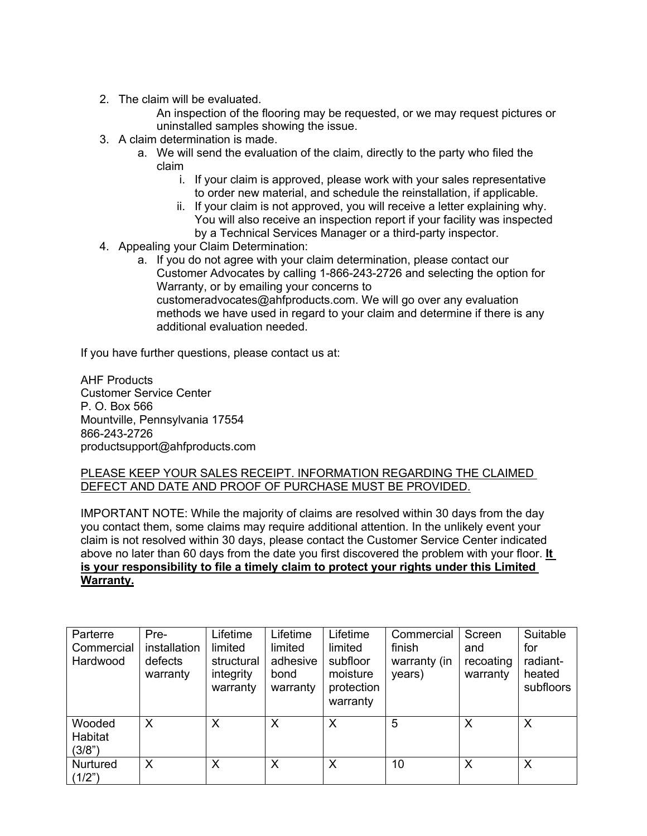2. The claim will be evaluated.

An inspection of the flooring may be requested, or we may request pictures or uninstalled samples showing the issue.

- 3. A claim determination is made.
	- a. We will send the evaluation of the claim, directly to the party who filed the claim
		- i. If your claim is approved, please work with your sales representative to order new material, and schedule the reinstallation, if applicable.
		- ii. If your claim is not approved, you will receive a letter explaining why. You will also receive an inspection report if your facility was inspected by a Technical Services Manager or a third-party inspector.
- 4. Appealing your Claim Determination:
	- a. If you do not agree with your claim determination, please contact our Customer Advocates by calling 1-866-243-2726 and selecting the option for Warranty, or by emailing your concerns to customeradvocates@ahfproducts.com. We will go over any evaluation methods we have used in regard to your claim and determine if there is any additional evaluation needed.

If you have further questions, please contact us at:

AHF Products Customer Service Center P. O. Box 566 Mountville, Pennsylvania 17554 866-243-2726 productsupport@ahfproducts.com

### PLEASE KEEP YOUR SALES RECEIPT. INFORMATION REGARDING THE CLAIMED DEFECT AND DATE AND PROOF OF PURCHASE MUST BE PROVIDED.

IMPORTANT NOTE: While the majority of claims are resolved within 30 days from the day you contact them, some claims may require additional attention. In the unlikely event your claim is not resolved within 30 days, please contact the Customer Service Center indicated above no later than 60 days from the date you first discovered the problem with your floor. **It is your responsibility to file a timely claim to protect your rights under this Limited Warranty.**

| Parterre<br>Commercial<br>Hardwood | Pre-<br>installation<br>defects<br>warranty | Lifetime<br>limited<br>structural<br>integrity<br>warranty | Lifetime<br>limited<br>adhesive<br>bond<br>warranty | Lifetime<br>limited<br>subfloor<br>moisture<br>protection<br>warranty | Commercial<br>finish<br>warranty (in<br>years) | Screen<br>and<br>recoating<br>warranty | Suitable<br>for<br>radiant-<br>heated<br>subfloors |
|------------------------------------|---------------------------------------------|------------------------------------------------------------|-----------------------------------------------------|-----------------------------------------------------------------------|------------------------------------------------|----------------------------------------|----------------------------------------------------|
| Wooded<br>Habitat<br>(3/8")        | X                                           | X                                                          | X                                                   | X                                                                     | 5                                              | X                                      | X                                                  |
| Nurtured<br>(1/2")                 | X                                           | X                                                          | X                                                   | X                                                                     | 10                                             | X                                      | X                                                  |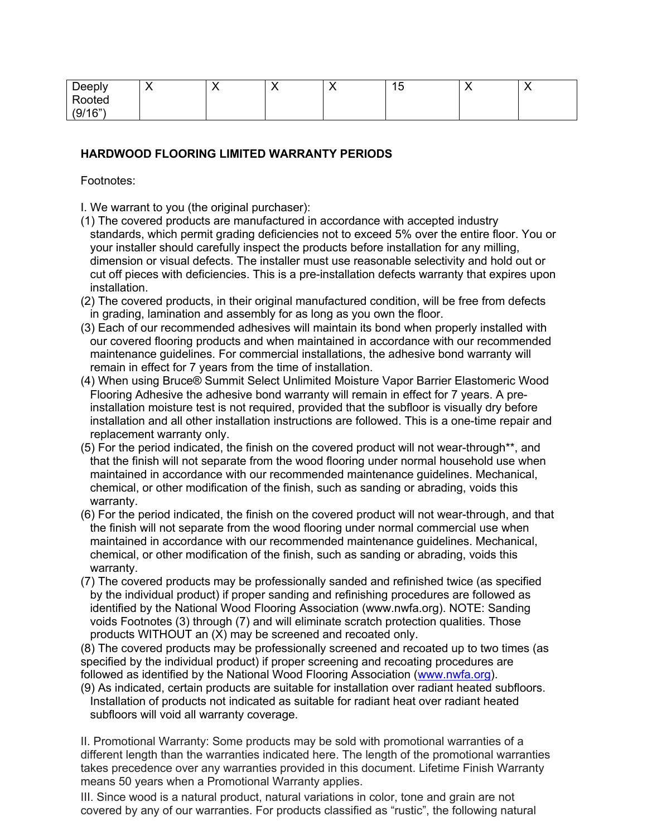| Deeply  | ◥ | . . | ィド<br>∪ו<br>__ |  |
|---------|---|-----|----------------|--|
| Rooted  |   |     |                |  |
| (9/16") |   |     |                |  |

## **HARDWOOD FLOORING LIMITED WARRANTY PERIODS**

Footnotes:

I. We warrant to you (the original purchaser):

- (1) The covered products are manufactured in accordance with accepted industry standards, which permit grading deficiencies not to exceed 5% over the entire floor. You or your installer should carefully inspect the products before installation for any milling, dimension or visual defects. The installer must use reasonable selectivity and hold out or cut off pieces with deficiencies. This is a pre-installation defects warranty that expires upon installation.
- (2) The covered products, in their original manufactured condition, will be free from defects in grading, lamination and assembly for as long as you own the floor.
- (3) Each of our recommended adhesives will maintain its bond when properly installed with our covered flooring products and when maintained in accordance with our recommended maintenance guidelines. For commercial installations, the adhesive bond warranty will remain in effect for 7 years from the time of installation.
- (4) When using Bruce® Summit Select Unlimited Moisture Vapor Barrier Elastomeric Wood Flooring Adhesive the adhesive bond warranty will remain in effect for 7 years. A preinstallation moisture test is not required, provided that the subfloor is visually dry before installation and all other installation instructions are followed. This is a one-time repair and replacement warranty only.
- (5) For the period indicated, the finish on the covered product will not wear-through\*\*, and that the finish will not separate from the wood flooring under normal household use when maintained in accordance with our recommended maintenance guidelines. Mechanical, chemical, or other modification of the finish, such as sanding or abrading, voids this warranty.
- (6) For the period indicated, the finish on the covered product will not wear-through, and that the finish will not separate from the wood flooring under normal commercial use when maintained in accordance with our recommended maintenance guidelines. Mechanical, chemical, or other modification of the finish, such as sanding or abrading, voids this warranty.
- (7) The covered products may be professionally sanded and refinished twice (as specified by the individual product) if proper sanding and refinishing procedures are followed as identified by the National Wood Flooring Association (www.nwfa.org). NOTE: Sanding voids Footnotes (3) through (7) and will eliminate scratch protection qualities. Those products WITHOUT an (X) may be screened and recoated only.

(8) The covered products may be professionally screened and recoated up to two times (as specified by the individual product) if proper screening and recoating procedures are followed as identified by the National Wood Flooring Association (www.nwfa.org).

(9) As indicated, certain products are suitable for installation over radiant heated subfloors. Installation of products not indicated as suitable for radiant heat over radiant heated subfloors will void all warranty coverage.

II. Promotional Warranty: Some products may be sold with promotional warranties of a different length than the warranties indicated here. The length of the promotional warranties takes precedence over any warranties provided in this document. Lifetime Finish Warranty means 50 years when a Promotional Warranty applies.

III. Since wood is a natural product, natural variations in color, tone and grain are not covered by any of our warranties. For products classified as "rustic", the following natural